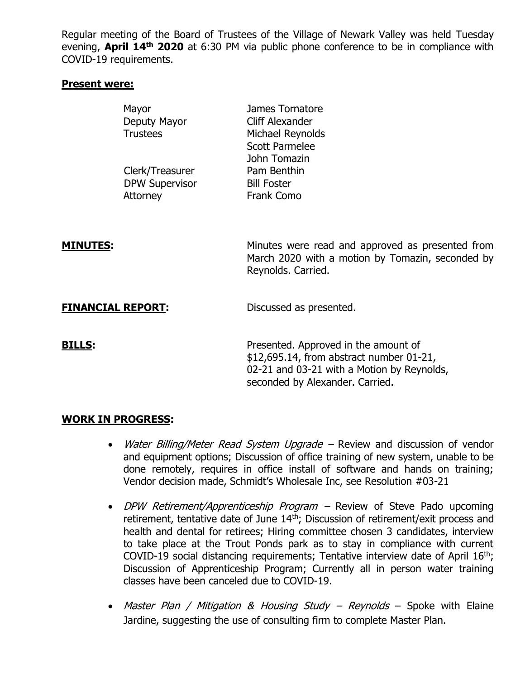Regular meeting of the Board of Trustees of the Village of Newark Valley was held Tuesday evening, **April 14th 2020** at 6:30 PM via public phone conference to be in compliance with COVID-19 requirements.

## **Present were:**

|                          | Mayor<br>Deputy Mayor<br><b>Trustees</b>             | James Tornatore<br>Cliff Alexander<br>Michael Reynolds<br><b>Scott Parmelee</b><br>John Tomazin                                                                   |
|--------------------------|------------------------------------------------------|-------------------------------------------------------------------------------------------------------------------------------------------------------------------|
|                          | Clerk/Treasurer<br><b>DPW Supervisor</b><br>Attorney | Pam Benthin<br><b>Bill Foster</b><br>Frank Como                                                                                                                   |
| <u>MINUTES:</u>          |                                                      | Minutes were read and approved as presented from<br>March 2020 with a motion by Tomazin, seconded by<br>Reynolds. Carried.                                        |
| <b>FINANCIAL REPORT:</b> |                                                      | Discussed as presented.                                                                                                                                           |
| <b>BILLS:</b>            |                                                      | Presented. Approved in the amount of<br>\$12,695.14, from abstract number 01-21,<br>02-21 and 03-21 with a Motion by Reynolds,<br>seconded by Alexander. Carried. |

## **WORK IN PROGRESS:**

- Water Billing/Meter Read System Upgrade Review and discussion of vendor and equipment options; Discussion of office training of new system, unable to be done remotely, requires in office install of software and hands on training; Vendor decision made, Schmidt's Wholesale Inc, see Resolution #03-21
- DPW Retirement/Apprenticeship Program Review of Steve Pado upcoming retirement, tentative date of June 14<sup>th</sup>; Discussion of retirement/exit process and health and dental for retirees; Hiring committee chosen 3 candidates, interview to take place at the Trout Ponds park as to stay in compliance with current COVID-19 social distancing requirements; Tentative interview date of April 16<sup>th</sup>; Discussion of Apprenticeship Program; Currently all in person water training classes have been canceled due to COVID-19.
- Master Plan / Mitigation & Housing Study Reynolds Spoke with Elaine Jardine, suggesting the use of consulting firm to complete Master Plan.